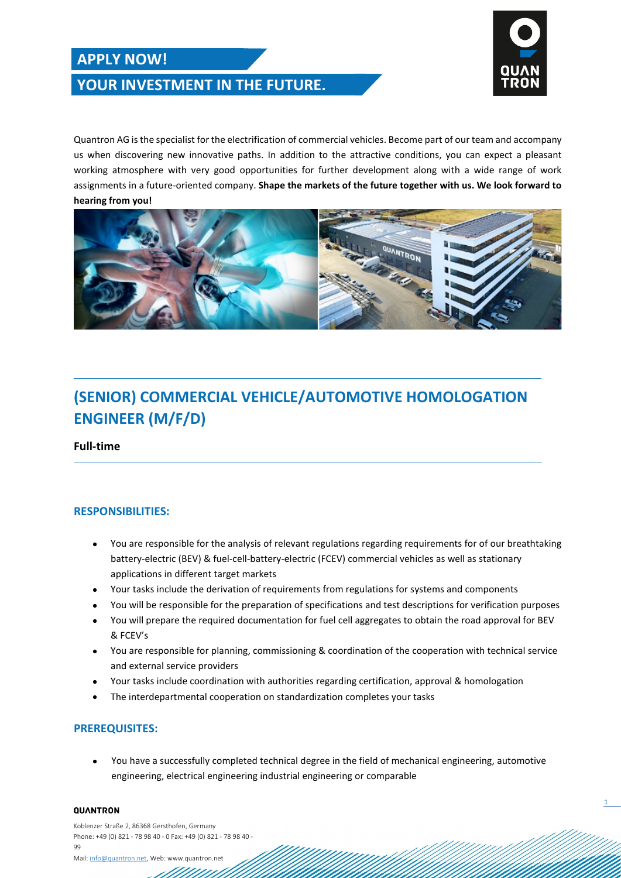## **APPLY NOW!**





1

Quantron AG is the specialist for the electrification of commercial vehicles. Become part of our team and accompany us when discovering new innovative paths. In addition to the attractive conditions, you can expect a pleasant working atmosphere with very good opportunities for further development along with a wide range of work assignments in a future-oriented company. **Shape the markets of the future together with us. We look forward to hearing from you!**



# **(SENIOR) COMMERCIAL VEHICLE/AUTOMOTIVE HOMOLOGATION ENGINEER (M/F/D)**

**Full-time** 

### **RESPONSIBILITIES:**

- You are responsible for the analysis of relevant regulations regarding requirements for of our breathtaking battery-electric (BEV) & fuel-cell-battery-electric (FCEV) commercial vehicles as well as stationary applications in different target markets
- Your tasks include the derivation of requirements from regulations for systems and components
- You will be responsible for the preparation of specifications and test descriptions for verification purposes
- You will prepare the required documentation for fuel cell aggregates to obtain the road approval for BEV & FCEV's
- You are responsible for planning, commissioning & coordination of the cooperation with technical service and external service providers
- Your tasks include coordination with authorities regarding certification, approval & homologation
- The interdepartmental cooperation on standardization completes your tasks

### **PREREQUISITES:**

• You have a successfully completed technical degree in the field of mechanical engineering, automotive engineering, electrical engineering industrial engineering or comparable

#### QUANTRON

Koblenzer Straße 2, 86368 Gersthofen, Germany Phone: +49 (0) 821 - 78 98 40 - 0 Fax: +49 (0) 821 - 78 98 40 - 99 Mail[: info@quantron.net,](mailto:info@quantron.net) Web: www.quantron.net